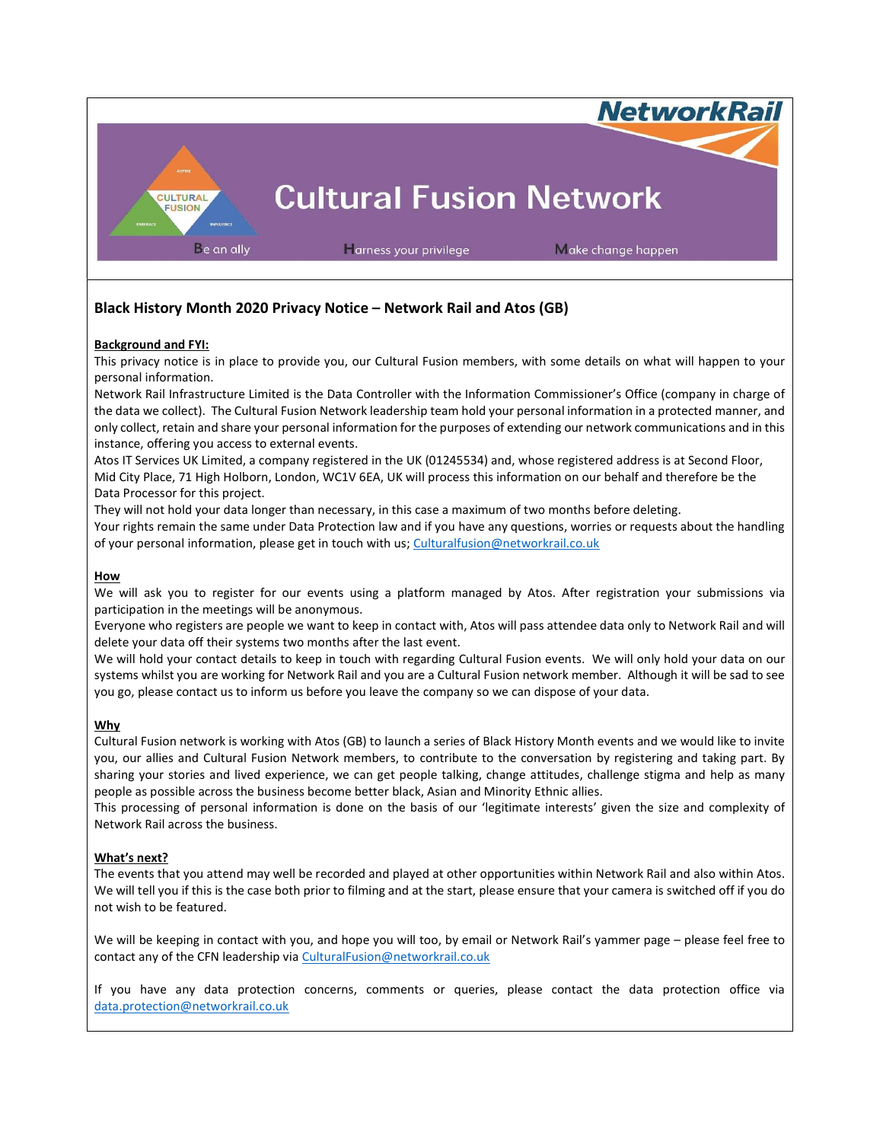

# Black History Month 2020 Privacy Notice – Network Rail and Atos (GB)

### Background and FYI:

This privacy notice is in place to provide you, our Cultural Fusion members, with some details on what will happen to your personal information.

Network Rail Infrastructure Limited is the Data Controller with the Information Commissioner's Office (company in charge of the data we collect). The Cultural Fusion Network leadership team hold your personal information in a protected manner, and only collect, retain and share your personal information for the purposes of extending our network communications and in this instance, offering you access to external events.

Atos IT Services UK Limited, a company registered in the UK (01245534) and, whose registered address is at Second Floor, Mid City Place, 71 High Holborn, London, WC1V 6EA, UK will process this information on our behalf and therefore be the Data Processor for this project.

They will not hold your data longer than necessary, in this case a maximum of two months before deleting. Your rights remain the same under Data Protection law and if you have any questions, worries or requests about the handling of your personal information, please get in touch with us; Culturalfusion@networkrail.co.uk

#### How

We will ask you to register for our events using a platform managed by Atos. After registration your submissions via participation in the meetings will be anonymous.

Everyone who registers are people we want to keep in contact with, Atos will pass attendee data only to Network Rail and will delete your data off their systems two months after the last event.

We will hold your contact details to keep in touch with regarding Cultural Fusion events. We will only hold your data on our systems whilst you are working for Network Rail and you are a Cultural Fusion network member. Although it will be sad to see you go, please contact us to inform us before you leave the company so we can dispose of your data.

#### Why

Cultural Fusion network is working with Atos (GB) to launch a series of Black History Month events and we would like to invite you, our allies and Cultural Fusion Network members, to contribute to the conversation by registering and taking part. By sharing your stories and lived experience, we can get people talking, change attitudes, challenge stigma and help as many people as possible across the business become better black, Asian and Minority Ethnic allies.

This processing of personal information is done on the basis of our 'legitimate interests' given the size and complexity of Network Rail across the business.

## What's next?

The events that you attend may well be recorded and played at other opportunities within Network Rail and also within Atos. We will tell you if this is the case both prior to filming and at the start, please ensure that your camera is switched off if you do not wish to be featured.

We will be keeping in contact with you, and hope you will too, by email or Network Rail's yammer page – please feel free to contact any of the CFN leadership via CulturalFusion@networkrail.co.uk

If you have any data protection concerns, comments or queries, please contact the data protection office via data.protection@networkrail.co.uk